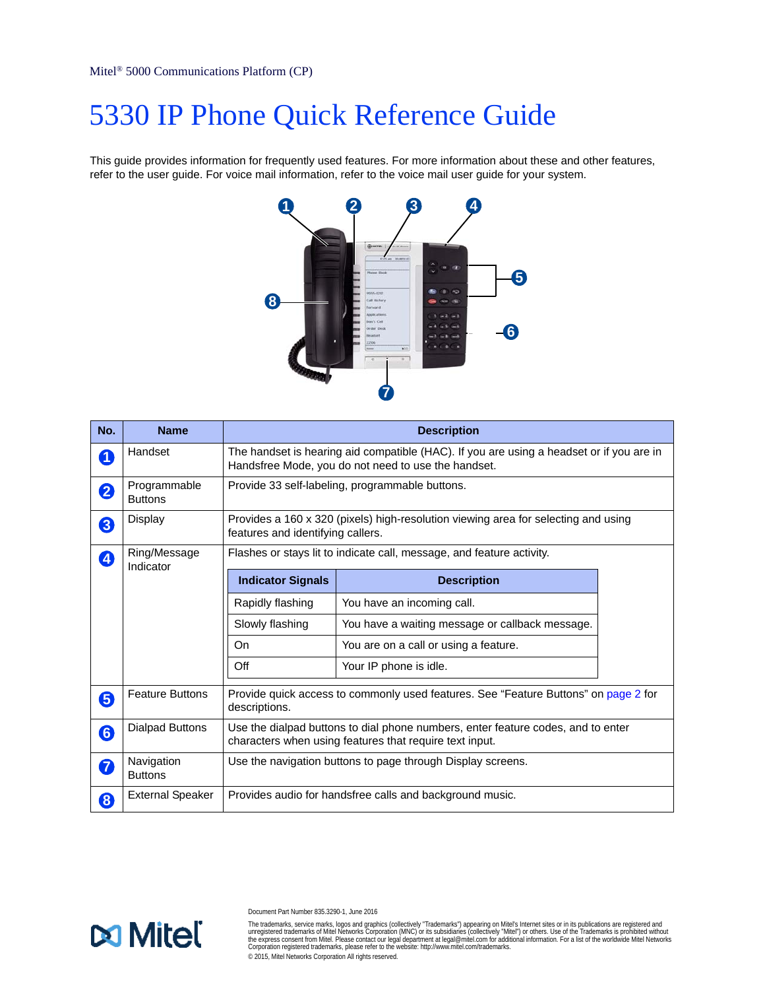# 5330 IP Phone Quick Reference Guide

This guide provides information for frequently used features. For more information about these and other features, refer to the user guide. For voice mail information, refer to the voice mail user guide for your system.



| No. | <b>Name</b>                    | <b>Description</b>                                                                                                                              |                                                 |  |
|-----|--------------------------------|-------------------------------------------------------------------------------------------------------------------------------------------------|-------------------------------------------------|--|
| 0   | Handset                        | The handset is hearing aid compatible (HAC). If you are using a headset or if you are in<br>Handsfree Mode, you do not need to use the handset. |                                                 |  |
| 2   | Programmable<br><b>Buttons</b> | Provide 33 self-labeling, programmable buttons.                                                                                                 |                                                 |  |
| 3   | Display                        | Provides a 160 x 320 (pixels) high-resolution viewing area for selecting and using<br>features and identifying callers.                         |                                                 |  |
| 4   | Ring/Message<br>Indicator      | Flashes or stays lit to indicate call, message, and feature activity.                                                                           |                                                 |  |
|     |                                | <b>Indicator Signals</b>                                                                                                                        | <b>Description</b>                              |  |
|     |                                | Rapidly flashing                                                                                                                                | You have an incoming call.                      |  |
|     |                                | Slowly flashing                                                                                                                                 | You have a waiting message or callback message. |  |
|     |                                | On                                                                                                                                              | You are on a call or using a feature.           |  |
|     |                                | Off                                                                                                                                             | Your IP phone is idle.                          |  |
| 6   | <b>Feature Buttons</b>         | Provide quick access to commonly used features. See "Feature Buttons" on page 2 for<br>descriptions.                                            |                                                 |  |
| 6   | <b>Dialpad Buttons</b>         | Use the dialpad buttons to dial phone numbers, enter feature codes, and to enter<br>characters when using features that require text input.     |                                                 |  |
| 2   | Navigation<br><b>Buttons</b>   | Use the navigation buttons to page through Display screens.                                                                                     |                                                 |  |
| 8   | <b>External Speaker</b>        | Provides audio for handsfree calls and background music.                                                                                        |                                                 |  |



Document Part Number 835.3290-1, June 2016

The trademarks, service marks, logos and graphics (collectively "Trademarks") appearing on Mitel's Internet sites or in its publications are registered and<br>unregistered trademarks of Mitel Networks Corporation (MNC) or its © 2015, Mitel Networks Corporation All rights reserved.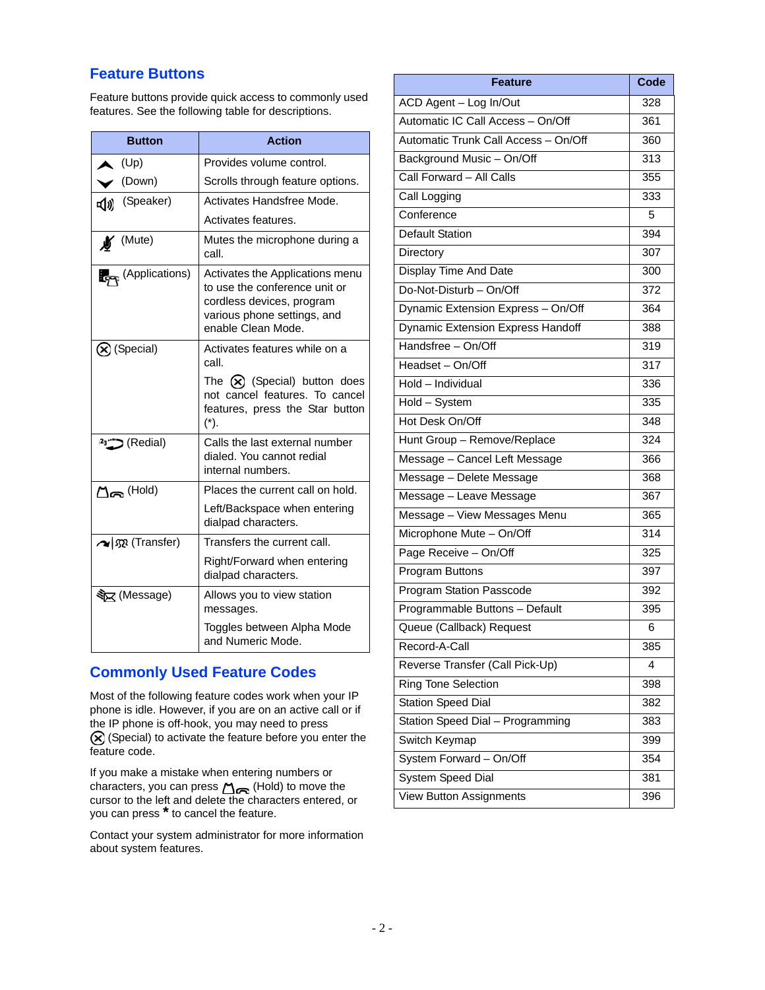## <span id="page-1-0"></span>**Feature Buttons**

Feature buttons provide quick access to commonly used features. See the following table for descriptions.

| <b>Button</b>          | <b>Action</b>                                                                                                                                      |
|------------------------|----------------------------------------------------------------------------------------------------------------------------------------------------|
| (Up)                   | Provides volume control.                                                                                                                           |
| (Down)                 | Scrolls through feature options.                                                                                                                   |
| (Speaker)<br>๔())      | Activates Handsfree Mode.                                                                                                                          |
|                        | Activates features.                                                                                                                                |
| <b>N</b> (Mute)        | Mutes the microphone during a<br>call.                                                                                                             |
| (Applications)         | Activates the Applications menu<br>to use the conference unit or<br>cordless devices, program<br>various phone settings, and<br>enable Clean Mode. |
| (X) (Special)          | Activates features while on a<br>call.                                                                                                             |
|                        | The $(x)$ (Special) button does<br>not cancel features. To cancel<br>features, press the Star button<br>$(*)$ .                                    |
| (Redial) <b>Called</b> | Calls the last external number<br>dialed. You cannot redial<br>internal numbers.                                                                   |
| $\Box$ m (Hold)        | Places the current call on hold.                                                                                                                   |
|                        | Left/Backspace when entering<br>dialpad characters.                                                                                                |
| ∧   5 (Transfer)       | Transfers the current call.                                                                                                                        |
|                        | Right/Forward when entering<br>dialpad characters.                                                                                                 |
| ষ্ট⊠ (Message)         | Allows you to view station<br>messages.                                                                                                            |
|                        | Toggles between Alpha Mode<br>and Numeric Mode.                                                                                                    |

# **Commonly Used Feature Codes**

 phone is idle. However, if you are on an active call or if Most of the following feature codes work when your IP the IP phone is off-hook, you may need to press  $\circledR$  (Special) to activate the feature before you enter the feature code.

If you make a mistake when entering numbers or characters, you can press  $\bigcap_{n\in\mathbb{N}}$  (Hold) to move the cursor to the left and delete the characters entered, or you can press **\*** to cancel the feature.

Contact your system administrator for more information about system features.

| Feature                              | Code |
|--------------------------------------|------|
| ACD Agent - Log In/Out               | 328  |
| Automatic IC Call Access - On/Off    | 361  |
| Automatic Trunk Call Access - On/Off | 360  |
| Background Music - On/Off            | 313  |
| Call Forward - All Calls             | 355  |
| Call Logging                         | 333  |
| Conference                           | 5    |
| <b>Default Station</b>               | 394  |
| Directory                            | 307  |
| Display Time And Date                | 300  |
| Do-Not-Disturb - On/Off              | 372  |
| Dynamic Extension Express - On/Off   | 364  |
| Dynamic Extension Express Handoff    | 388  |
| Handsfree - On/Off                   | 319  |
| Headset - On/Off                     | 317  |
| Hold - Individual                    | 336  |
| Hold - System                        | 335  |
| Hot Desk On/Off                      | 348  |
| Hunt Group - Remove/Replace          | 324  |
| Message - Cancel Left Message        | 366  |
| Message - Delete Message             | 368  |
| Message - Leave Message              | 367  |
| Message - View Messages Menu         | 365  |
| Microphone Mute - On/Off             | 314  |
| Page Receive - On/Off                | 325  |
| Program Buttons                      | 397  |
| Program Station Passcode             | 392  |
| Programmable Buttons - Default       | 395  |
| Queue (Callback) Request             | 6    |
| Record-A-Call                        | 385  |
| Reverse Transfer (Call Pick-Up)      | 4    |
| <b>Ring Tone Selection</b>           | 398  |
| <b>Station Speed Dial</b>            | 382  |
| Station Speed Dial - Programming     | 383  |
| Switch Keymap                        | 399  |
| System Forward - On/Off              | 354  |
| System Speed Dial                    | 381  |
| <b>View Button Assignments</b>       | 396  |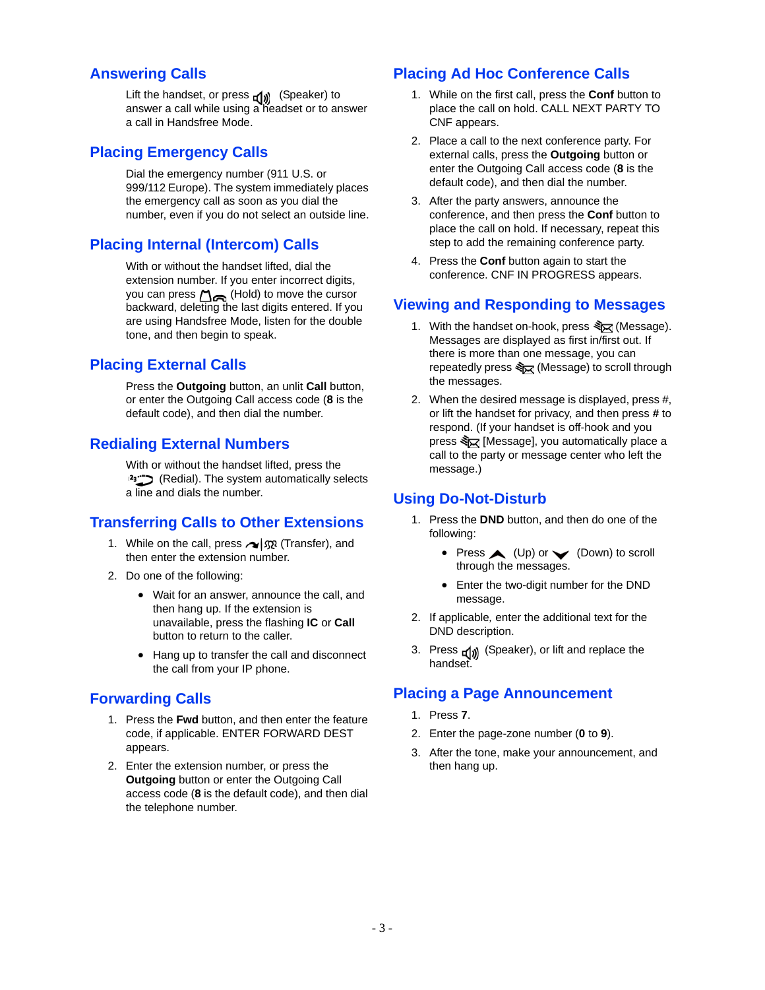#### **Answering Calls**

answer a call while using a headset or to answer Lift the handset, or press  $\Box$  (Speaker) to a call in Handsfree Mode.

#### **Placing Emergency Calls**

 the emergency call as soon as you dial the Dial the emergency number (911 U.S. or 999/112 Europe). The system immediately places number, even if you do not select an outside line.

### **Placing Internal (Intercom) Calls**

 you can press (Hold) to move the cursor tone, and then begin to speak. With or without the handset lifted, dial the extension number. If you enter incorrect digits, backward, deleting the last digits entered. If you are using Handsfree Mode, listen for the double

### **Placing External Calls**

 default code), and then dial the number. Press the **Outgoing** button, an unlit **Call** button, or enter the Outgoing Call access code (**8** is the

#### **Redialing External Numbers**

With or without the handset lifted, press the (Redial). The system automatically selects a line and dials the number.

### **Transferring Calls to Other Extensions**

- 1. While on the call, press  $\sim$   $\sqrt{\Omega}$  (Transfer), and then enter the extension number.
- 2. Do one of the following:
	- then hang up. If the extension is Wait for an answer, announce the call, and unavailable, press the flashing **IC** or **Call**  button to return to the caller.
	- Hang up to transfer the call and disconnect the call from your IP phone.

### **Forwarding Calls**

- 1. Press the **Fwd** button, and then enter the feature code, if applicable. ENTER FORWARD DEST appears.
- 2. Enter the extension number, or press the **Outgoing** button or enter the Outgoing Call access code (**8** is the default code), and then dial the telephone number.

### **Placing Ad Hoc Conference Calls**

- 1. While on the first call, press the **Conf** button to place the call on hold. CALL NEXT PARTY TO CNF appears.
- 2. Place a call to the next conference party. For external calls, press the **Outgoing** button or enter the Outgoing Call access code (**8** is the default code), and then dial the number.
- conference, and then press the **Conf** button to 3. After the party answers, announce the place the call on hold. If necessary, repeat this step to add the remaining conference party.
- 4. Press the **Conf** button again to start the conference. CNF IN PROGRESS appears.

#### **Viewing and Responding to Messages**

- 1. With the handset on-hook, press  $\sqrt[3]{2}$  (Message). Messages are displayed as first in/first out. If there is more than one message, you can repeatedly press  $\frac{1}{2}$  (Message) to scroll through the messages.
- 2. When the desired message is displayed, press #, or lift the handset for privacy, and then press **#** to respond. (If your handset is off-hook and you press  $\sqrt[3]{2}$  [Message], you automatically place a call to the party or message center who left the message.)

#### **Using Do-Not-Disturb**

- 1. Press the **DND** button, and then do one of the following:
	- Press  $\triangle$  (Up) or  $\blacktriangleright$  (Down) to scroll through the messages.
	- Enter the two-digit number for the DND message.
- 2. If applicable*,* enter the additional text for the DND description.
- 3. Press  $\Box$ ) (Speaker), or lift and replace the handset.

### **Placing a Page Announcement**

- 1. Press **7**.
- 2. Enter the page-zone number (**0** to **9**).
- 3. After the tone, make your announcement, and then hang up.